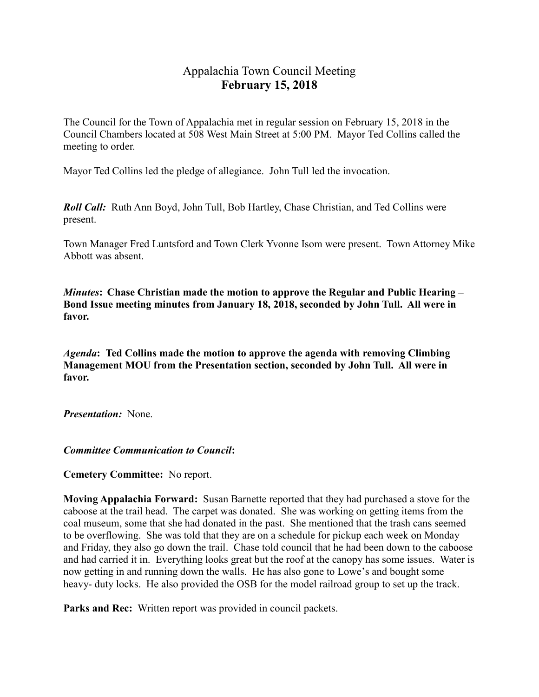# Appalachia Town Council Meeting **February 15, 2018**

The Council for the Town of Appalachia met in regular session on February 15, 2018 in the Council Chambers located at 508 West Main Street at 5:00 PM. Mayor Ted Collins called the meeting to order.

Mayor Ted Collins led the pledge of allegiance. John Tull led the invocation.

*Roll Call:* Ruth Ann Boyd, John Tull, Bob Hartley, Chase Christian, and Ted Collins were present.

Town Manager Fred Luntsford and Town Clerk Yvonne Isom were present. Town Attorney Mike Abbott was absent.

*Minutes***: Chase Christian made the motion to approve the Regular and Public Hearing – Bond Issue meeting minutes from January 18, 2018, seconded by John Tull. All were in favor.** 

*Agenda***: Ted Collins made the motion to approve the agenda with removing Climbing Management MOU from the Presentation section, seconded by John Tull. All were in favor.** 

*Presentation:* None.

*Committee Communication to Council***:** 

**Cemetery Committee:** No report.

**Moving Appalachia Forward:** Susan Barnette reported that they had purchased a stove for the caboose at the trail head. The carpet was donated. She was working on getting items from the coal museum, some that she had donated in the past. She mentioned that the trash cans seemed to be overflowing. She was told that they are on a schedule for pickup each week on Monday and Friday, they also go down the trail. Chase told council that he had been down to the caboose and had carried it in. Everything looks great but the roof at the canopy has some issues. Water is now getting in and running down the walls. He has also gone to Lowe's and bought some heavy- duty locks. He also provided the OSB for the model railroad group to set up the track.

**Parks and Rec:** Written report was provided in council packets.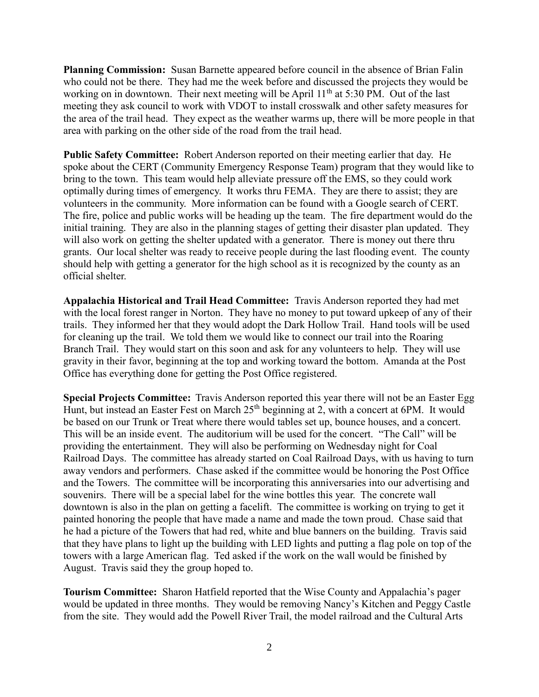**Planning Commission:** Susan Barnette appeared before council in the absence of Brian Falin who could not be there. They had me the week before and discussed the projects they would be working on in downtown. Their next meeting will be April 11<sup>th</sup> at 5:30 PM. Out of the last meeting they ask council to work with VDOT to install crosswalk and other safety measures for the area of the trail head. They expect as the weather warms up, there will be more people in that area with parking on the other side of the road from the trail head.

**Public Safety Committee:** Robert Anderson reported on their meeting earlier that day. He spoke about the CERT (Community Emergency Response Team) program that they would like to bring to the town. This team would help alleviate pressure off the EMS, so they could work optimally during times of emergency. It works thru FEMA. They are there to assist; they are volunteers in the community. More information can be found with a Google search of CERT. The fire, police and public works will be heading up the team. The fire department would do the initial training. They are also in the planning stages of getting their disaster plan updated. They will also work on getting the shelter updated with a generator. There is money out there thru grants. Our local shelter was ready to receive people during the last flooding event. The county should help with getting a generator for the high school as it is recognized by the county as an official shelter.

**Appalachia Historical and Trail Head Committee:** Travis Anderson reported they had met with the local forest ranger in Norton. They have no money to put toward upkeep of any of their trails. They informed her that they would adopt the Dark Hollow Trail. Hand tools will be used for cleaning up the trail. We told them we would like to connect our trail into the Roaring Branch Trail. They would start on this soon and ask for any volunteers to help. They will use gravity in their favor, beginning at the top and working toward the bottom. Amanda at the Post Office has everything done for getting the Post Office registered.

**Special Projects Committee:** Travis Anderson reported this year there will not be an Easter Egg Hunt, but instead an Easter Fest on March 25<sup>th</sup> beginning at 2, with a concert at 6PM. It would be based on our Trunk or Treat where there would tables set up, bounce houses, and a concert. This will be an inside event. The auditorium will be used for the concert. "The Call" will be providing the entertainment. They will also be performing on Wednesday night for Coal Railroad Days. The committee has already started on Coal Railroad Days, with us having to turn away vendors and performers. Chase asked if the committee would be honoring the Post Office and the Towers. The committee will be incorporating this anniversaries into our advertising and souvenirs. There will be a special label for the wine bottles this year. The concrete wall downtown is also in the plan on getting a facelift. The committee is working on trying to get it painted honoring the people that have made a name and made the town proud. Chase said that he had a picture of the Towers that had red, white and blue banners on the building. Travis said that they have plans to light up the building with LED lights and putting a flag pole on top of the towers with a large American flag. Ted asked if the work on the wall would be finished by August. Travis said they the group hoped to.

**Tourism Committee:** Sharon Hatfield reported that the Wise County and Appalachia's pager would be updated in three months. They would be removing Nancy's Kitchen and Peggy Castle from the site. They would add the Powell River Trail, the model railroad and the Cultural Arts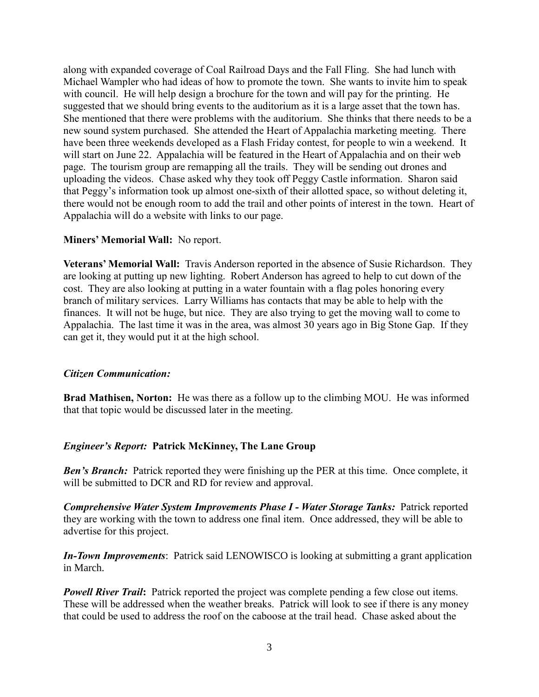along with expanded coverage of Coal Railroad Days and the Fall Fling. She had lunch with Michael Wampler who had ideas of how to promote the town. She wants to invite him to speak with council. He will help design a brochure for the town and will pay for the printing. He suggested that we should bring events to the auditorium as it is a large asset that the town has. She mentioned that there were problems with the auditorium. She thinks that there needs to be a new sound system purchased. She attended the Heart of Appalachia marketing meeting. There have been three weekends developed as a Flash Friday contest, for people to win a weekend. It will start on June 22. Appalachia will be featured in the Heart of Appalachia and on their web page. The tourism group are remapping all the trails. They will be sending out drones and uploading the videos. Chase asked why they took off Peggy Castle information. Sharon said that Peggy's information took up almost one-sixth of their allotted space, so without deleting it, there would not be enough room to add the trail and other points of interest in the town. Heart of Appalachia will do a website with links to our page.

## **Miners' Memorial Wall:** No report.

**Veterans' Memorial Wall:** Travis Anderson reported in the absence of Susie Richardson. They are looking at putting up new lighting. Robert Anderson has agreed to help to cut down of the cost. They are also looking at putting in a water fountain with a flag poles honoring every branch of military services. Larry Williams has contacts that may be able to help with the finances. It will not be huge, but nice. They are also trying to get the moving wall to come to Appalachia. The last time it was in the area, was almost 30 years ago in Big Stone Gap. If they can get it, they would put it at the high school.

### *Citizen Communication:*

**Brad Mathisen, Norton:** He was there as a follow up to the climbing MOU. He was informed that that topic would be discussed later in the meeting.

## *Engineer's Report:* **Patrick McKinney, The Lane Group**

*Ben's Branch:* Patrick reported they were finishing up the PER at this time. Once complete, it will be submitted to DCR and RD for review and approval.

*Comprehensive Water System Improvements Phase I - Water Storage Tanks:* Patrick reported they are working with the town to address one final item. Once addressed, they will be able to advertise for this project.

*In-Town Improvements*: Patrick said LENOWISCO is looking at submitting a grant application in March.

*Powell River Trail:* Patrick reported the project was complete pending a few close out items. These will be addressed when the weather breaks. Patrick will look to see if there is any money that could be used to address the roof on the caboose at the trail head. Chase asked about the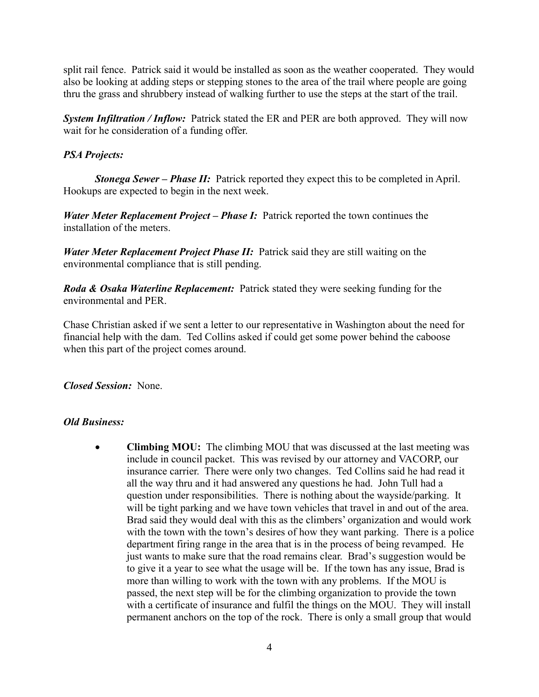split rail fence. Patrick said it would be installed as soon as the weather cooperated. They would also be looking at adding steps or stepping stones to the area of the trail where people are going thru the grass and shrubbery instead of walking further to use the steps at the start of the trail.

*System Infiltration / Inflow:* Patrick stated the ER and PER are both approved. They will now wait for he consideration of a funding offer.

## *PSA Projects:*

*Stonega Sewer – Phase II:* Patrick reported they expect this to be completed in April. Hookups are expected to begin in the next week.

*Water Meter Replacement Project – Phase I:* Patrick reported the town continues the installation of the meters.

*Water Meter Replacement Project Phase II:* Patrick said they are still waiting on the environmental compliance that is still pending.

*Roda & Osaka Waterline Replacement:* Patrick stated they were seeking funding for the environmental and PER.

Chase Christian asked if we sent a letter to our representative in Washington about the need for financial help with the dam. Ted Collins asked if could get some power behind the caboose when this part of the project comes around.

*Closed Session:* None.

## *Old Business:*

• **Climbing MOU:** The climbing MOU that was discussed at the last meeting was include in council packet. This was revised by our attorney and VACORP, our insurance carrier. There were only two changes. Ted Collins said he had read it all the way thru and it had answered any questions he had. John Tull had a question under responsibilities. There is nothing about the wayside/parking. It will be tight parking and we have town vehicles that travel in and out of the area. Brad said they would deal with this as the climbers' organization and would work with the town with the town's desires of how they want parking. There is a police department firing range in the area that is in the process of being revamped. He just wants to make sure that the road remains clear. Brad's suggestion would be to give it a year to see what the usage will be. If the town has any issue, Brad is more than willing to work with the town with any problems. If the MOU is passed, the next step will be for the climbing organization to provide the town with a certificate of insurance and fulfil the things on the MOU. They will install permanent anchors on the top of the rock. There is only a small group that would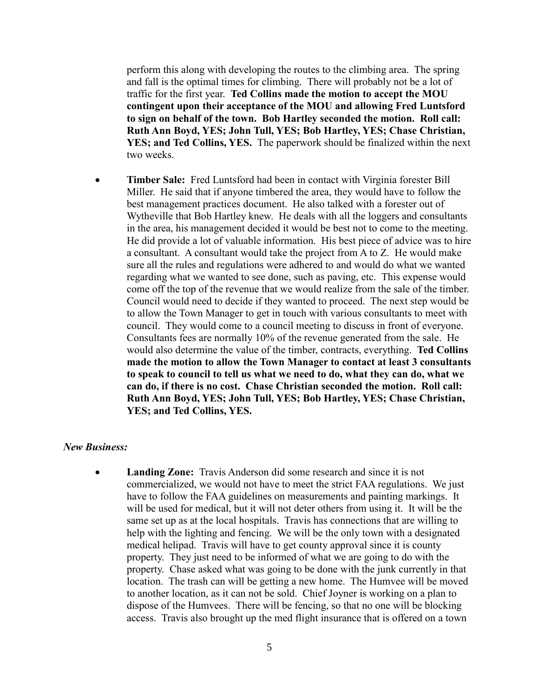perform this along with developing the routes to the climbing area. The spring and fall is the optimal times for climbing. There will probably not be a lot of traffic for the first year. **Ted Collins made the motion to accept the MOU contingent upon their acceptance of the MOU and allowing Fred Luntsford to sign on behalf of the town. Bob Hartley seconded the motion. Roll call: Ruth Ann Boyd, YES; John Tull, YES; Bob Hartley, YES; Chase Christian, YES; and Ted Collins, YES.** The paperwork should be finalized within the next two weeks.

• **Timber Sale:** Fred Luntsford had been in contact with Virginia forester Bill Miller. He said that if anyone timbered the area, they would have to follow the best management practices document. He also talked with a forester out of Wytheville that Bob Hartley knew. He deals with all the loggers and consultants in the area, his management decided it would be best not to come to the meeting. He did provide a lot of valuable information. His best piece of advice was to hire a consultant. A consultant would take the project from A to Z. He would make sure all the rules and regulations were adhered to and would do what we wanted regarding what we wanted to see done, such as paving, etc. This expense would come off the top of the revenue that we would realize from the sale of the timber. Council would need to decide if they wanted to proceed. The next step would be to allow the Town Manager to get in touch with various consultants to meet with council. They would come to a council meeting to discuss in front of everyone. Consultants fees are normally 10% of the revenue generated from the sale. He would also determine the value of the timber, contracts, everything. **Ted Collins made the motion to allow the Town Manager to contact at least 3 consultants to speak to council to tell us what we need to do, what they can do, what we can do, if there is no cost. Chase Christian seconded the motion. Roll call: Ruth Ann Boyd, YES; John Tull, YES; Bob Hartley, YES; Chase Christian, YES; and Ted Collins, YES.** 

#### *New Business:*

• **Landing Zone:** Travis Anderson did some research and since it is not commercialized, we would not have to meet the strict FAA regulations. We just have to follow the FAA guidelines on measurements and painting markings. It will be used for medical, but it will not deter others from using it. It will be the same set up as at the local hospitals. Travis has connections that are willing to help with the lighting and fencing. We will be the only town with a designated medical helipad. Travis will have to get county approval since it is county property. They just need to be informed of what we are going to do with the property. Chase asked what was going to be done with the junk currently in that location. The trash can will be getting a new home. The Humvee will be moved to another location, as it can not be sold. Chief Joyner is working on a plan to dispose of the Humvees. There will be fencing, so that no one will be blocking access. Travis also brought up the med flight insurance that is offered on a town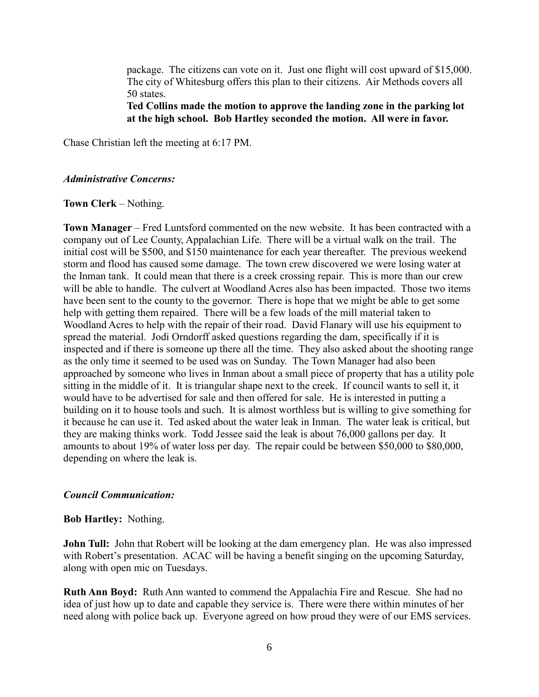package. The citizens can vote on it. Just one flight will cost upward of \$15,000. The city of Whitesburg offers this plan to their citizens. Air Methods covers all 50 states.

**Ted Collins made the motion to approve the landing zone in the parking lot at the high school. Bob Hartley seconded the motion. All were in favor.** 

Chase Christian left the meeting at 6:17 PM.

### *Administrative Concerns:*

**Town Clerk** – Nothing.

**Town Manager** – Fred Luntsford commented on the new website. It has been contracted with a company out of Lee County, Appalachian Life. There will be a virtual walk on the trail. The initial cost will be \$500, and \$150 maintenance for each year thereafter. The previous weekend storm and flood has caused some damage. The town crew discovered we were losing water at the Inman tank. It could mean that there is a creek crossing repair. This is more than our crew will be able to handle. The culvert at Woodland Acres also has been impacted. Those two items have been sent to the county to the governor. There is hope that we might be able to get some help with getting them repaired. There will be a few loads of the mill material taken to Woodland Acres to help with the repair of their road. David Flanary will use his equipment to spread the material. Jodi Orndorff asked questions regarding the dam, specifically if it is inspected and if there is someone up there all the time. They also asked about the shooting range as the only time it seemed to be used was on Sunday. The Town Manager had also been approached by someone who lives in Inman about a small piece of property that has a utility pole sitting in the middle of it. It is triangular shape next to the creek. If council wants to sell it, it would have to be advertised for sale and then offered for sale. He is interested in putting a building on it to house tools and such. It is almost worthless but is willing to give something for it because he can use it. Ted asked about the water leak in Inman. The water leak is critical, but they are making thinks work. Todd Jessee said the leak is about 76,000 gallons per day. It amounts to about 19% of water loss per day. The repair could be between \$50,000 to \$80,000, depending on where the leak is.

## *Council Communication:*

### **Bob Hartley:** Nothing.

**John Tull:** John that Robert will be looking at the dam emergency plan. He was also impressed with Robert's presentation. ACAC will be having a benefit singing on the upcoming Saturday, along with open mic on Tuesdays.

**Ruth Ann Boyd:** Ruth Ann wanted to commend the Appalachia Fire and Rescue. She had no idea of just how up to date and capable they service is. There were there within minutes of her need along with police back up. Everyone agreed on how proud they were of our EMS services.